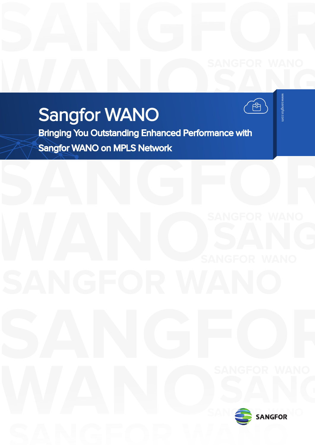# **SANGFORM**

# **WANO** Sangfor WANO

**SANGROUP**<br>
SANG<br>
SANGROPI<br>
SANGROPI<br>
SANGROPI<br>
SANGROPI<br>
SANGROPI<br>
SANGROPI<br>
SANGROPI<br>
SANGROPI<br>
SANGROPI<br>
SANGROPI<br>
SANGROPI<br>
SANGROPI<br>
SANGROPI<br>
SANGROPI<br>
SANGROPI<br>
SANGROPI<br>
SANGROPI<br>
SANGROPI<br>
SANGROPI<br>
SANGROPI<br>
SANG

**SANGFOR WANO**<br>Bringing You Outstanding Enhanced Performance with<br>Sangfor WANO on MPLS Notwork **SANGFOR WAND ON MPLS NetWORK SANGFOR WAND** Bringing You Outstanding Enhanced Performance with Sangfor WANO on MPLS Network

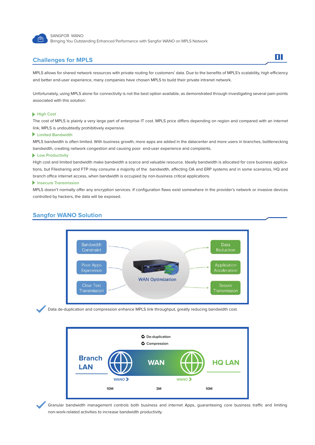

SANGFOR WANO Bringing You Outstanding Enhanced Performance with Sangfor WANO on MPLS Network

### **Challenges for MPLS**

MPLS allows for shared network resources with private routing for customers' data. Due to the benefits of MPLS's scalability, high efficiency and better end-user experience, many companies have chosen MPLS to build their private intranet network.

01

Unfortunately, using MPLS alone for connectivity is not the best option available, as demonstrated through investigating several pain-points associated with this solution:

### **High Cost**

The cost of MPLS is plainly a very large part of enterprise IT cost. MPLS price differs depending on region and compared with an internet link, MPLS is undoubtedly prohibitively expensive.

### **Limited Bandwidth**

MPLS bandwidth is often limited. With business growth, more apps are added in the datacenter and more users in branches, bottlenecking bandwidth, creating network congestion and causing poor end-user experience and complaints.

### **Low Productivity**

High cost and limited bandwidth make bandwidth a scarce and valuable resource. Ideally bandwidth is allocated for core business applications, but Filesharing and FTP may consume a majority of the bandwidth, affecting OA and ERP systems and in some scenarios, HQ and branch office internet access, when bandwidth is occupied by non-business critical applications.

### **Insecure Transmission**

MPLS doesn't normally offer any encryption services. If configuration flaws exist somewhere in the provider's network or invasive devices controlled by hackers, the data will be exposed.

### **Sangfor WANO Solution**







Granular bandwidth management controls both business and internet Apps, guaranteeing core business traffic and limiting non-work-related activities to increase bandwidth productivity.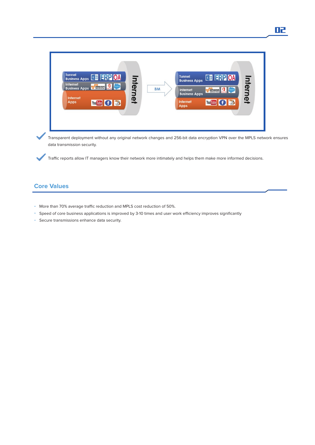

Transparent deployment without any original network changes and 256-bit data encryption VPN over the MPLS network ensures data transmission security.

Traffic reports allow IT managers know their network more intimately and helps them make more informed decisions.

# **Core Values**

- More than 70% average traffic reduction and MPLS cost reduction of 50%.
- Speed of core business applications is improved by 3-10 times and user work efficiency improves significantly
- Secure transmissions enhance data security.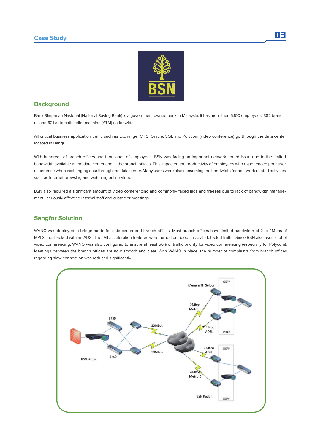### **Case Study**



# **Background**

Bank Simpanan Nasional (National Saving Bank) is a government owned bank in Malaysia. It has more than 5,100 employees, 382 branches and 621 automatic teller machine (ATM) nationwide.

All critical business application traffic such as Exchange, CIFS, Oracle, SQL and Polycom (video conference) go through the data center located in Bangi.

With hundreds of branch offices and thousands of employees, BSN was facing an important network speed issue due to the limited bandwidth available at the data center and in the branch offices. This impacted the productivity of employees who experienced poor user experience when exchanging data through the data center. Many users were also consuming the bandwidth for non-work related activities such as internet browsing and watching online videos.

BSN also required a significant amount of video conferencing and commonly faced lags and freezes due to lack of bandwidth management, seriously affecting internal staff and customer meetings.

# **Sangfor Solution**

WANO was deployed in bridge mode for data center and branch offices. Most branch offices have limited bandwidth of 2 to 4Mbps of MPLS line, backed with an ADSL line. All acceleration features were turned on to optimize all detected traffic. Since BSN also uses a lot of video conferencing, WANO was also configured to ensure at least 50% of traffic priority for video conferencing (especially for Polycom). Meetings between the branch offices are now smooth and clear. With WANO in place, the number of complaints from branch offices regarding slow connection was reduced significantly.



n3